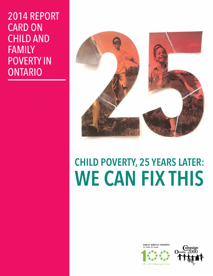# 2014 REPORT CARD ON CHILD AND FAMILY POVERTY IN ONTARIO



# **Child poverty, 25 years later: we can fix this**

**FAMILY SERVICE TORONTO** ople. For Change



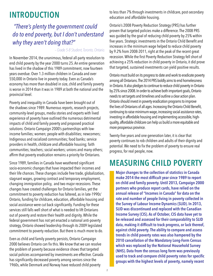# **INTRODUCTION**

# *"There's plenty the government could do to end poverty, but I don't understand why they aren't doing that?"*

#### *– Grade 5-8 Student, Toronto, Ontario.*

In November 2014, the unanimous, federal all-party resolution to end child poverty by the year 2000 turns 25. An entire generation has lived in the shadow of this 1989 commitment, now fourteen years overdue. Over 1.3 million children in Canada and over 550,000 in Ontario live in poverty today. Even as Canada's economy has more than doubled in size, child and family poverty is worse in 2014 than it was in 1989 at both the national and the provincial level.

Poverty and inequality in Canada have been brought out of the shadows since 1989. Numerous reports, research projects, community-level groups, media stories and experts with lived experience of poverty have outlined the numerous detrimental impacts of child and family poverty and proposed practical solutions. Ontario Campaign 2000's partnerships with lowincome families; women; people with disabilities; newcomers; Indigenous and racialized communities; food banks; service providers in health, childcare and affordable housing; faith communities; teachers; social workers; unions and many others; affirm that poverty eradication remains a priority for Ontarians.

Since 1989, families in Canada have weathered significant socio-economic changes that have impacted their incomes and their life chances. These changes include free trade, globalization, stagnant wages, growing contract and temporary employment, changing immigration policy, and two major recessions. These changes have created challenges for Ontario families, yet the commitment to poverty reduction has faltered, as in late-1990s' Ontario, funding for childcare, education, affordable housing and social assistance were cut back significantly. Funding for these services still falls well short of what is needed to lift Ontarians out of poverty and restore their health and dignity. While the federal government has not yet enacted a national anti-poverty strategy, Ontario showed leadership through its 2009 legislated commitment to poverty reduction. But there is much more to do.

Even as child and family poverty persists, Ontario Campaign 2000 believes Ontario can fix this. We know that we can resolve the problem of poverty because evidence shows that targeted social policies accompanied by investments are effective. Canada has significantly decreased poverty among seniors since the 1960s, while Denmark and Norway have reduced child poverty

to less than 7% through investments in childcare, post-secondary education and affordable housing.

Ontario's 2008 Poverty Reduction Strategy (PRS) has further proven that targeted policies make a difference. The 2008 PRS was guided by the goal of reducing child poverty by 25% within five years. Strategic investments in the Ontario Child Benefit and increases in the minimum wage helped to reduce child poverty by 9.2% from 2008-2011, right at the peak of the recent great recession. While the first Poverty Reduction Strategy fell short of achieving a 25% reduction in child poverty in Ontario, it did prove that targeted, sustained investments can yield positive results.

Ontario must build on its progress to date and work to eradicate poverty among all Ontarians. The 2014 PRS boldly aims to end homelessness in Ontario. It also pledges to continue to reduce child poverty in Ontario by 25% since 2008. In order to achieve both important goals, Ontario needs to set targets and timelines and outline a clear action plan. Ontario should invest in poverty eradication programs to improve the lives of Ontarians of all ages. Increasing the Ontario Child Benefit, continuing to raise minimum wage, increasing social assistance rates, investing in affordable housing and implementing accessible, highquality, affordable childcare can help us build a more equitable and more prosperous province.

Twenty-five years and one generation later, it is clear that poverty continues to rob children and adults of their dignity and potential. We need to fix the problem of poverty to ensure real progress, for real people, now.

# **MEASURING CHILD POVERTY**

**Major changes to the collection of statistics in Canada make 2014 the most difficult year since 1989 to report on child and family poverty. Until 2013, Campaign 2000 partners who produce report cards, have relied on the annual release of "Incomes in Canada" for data on the rate and number of people living in poverty collected in the Survey of Labour Income Dynamics (SLID). In 2013, SLID was discontinued and replaced with the Canadian Income Survey (CIS). As of October, CIS data have yet to be released and assessed for their comparability to SLID data, making it difficult to track progress, or lack thereof, against child poverty. The ability to compare and assess trends in child poverty rates was also hampered by the 2010 cancellation of the Mandatory Long-Form Census which was replaced by the National Household Survey (NHS). Data from the census long form was previously used to track and compare child poverty rates for specific groups with the highest levels of poverty, namely recent**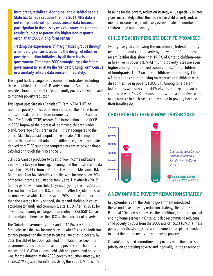**immigrant, racialized, Aboriginal and disabled people.<sup>1</sup> Statistics Canada cautions that the 2011 NHS data is not comparable with previous census data because participation in the survey was voluntary, making the results "subject to potentially higher non-response error" than 2006's long form census.<sup>2</sup>**

**Tracking the experiences of marginalized groups through a mandatory census is crucial to the design of effective poverty reduction initiatives by all three levels of government. Campaign 2000 strongly urges the federal government to reinstate the Mandatory Long Form Census or a similarly reliable data source immediately.**

This report tracks changes on a number of indicators, including those identified in Ontario's Poverty Reduction Strategy, to provide a broad picture of child and family poverty in Ontario and to monitor poverty reduction.

This report uses Statistics Canada's T1 Family File (T1FF) to report on poverty unless otherwise indicated.The T1FF is based on Taxfiler data collected from income tax returns and Canada Child Tax Benefit (CCTB) records. The introduction of the UCCB in 2006 improved the process of identifying children under 6 and, "coverage of children in the T1FF data compared to the official Statistics Canada population estimates."<sup>3</sup> It is important to note that due to methodological differences, low income rates derived from T1FF cannot be compared or contrasted with those calculated through the NHS and SLID.

Statistics Canada produces two sets of low-income indicators each with a two-year time lag, meaning that the most recent data available in 2014 is from 2012. The Low Income Measure (LIM, Before and After Tax) identifies families with income below 50% of median income, adjusted for family size. LIM After-Tax 2012 for one parent with one child 16 years or younger is  $=$  \$23,755.4 The Low Income Cut-off (LICO, Before and After Tax) identifies an income level at which families spend 20% more of their income than the average family on food, shelter and clothing. It varies according to family and community size. LICO After Tax 2012 for a two-person family in a large urban centre = \$23,850<sup>5</sup> Census data contained here uses the LICO as the indicator of poverty.

The Ontario Government's 2008 and 2014 Poverty Reduction Strategies use the Low Income Measure After Tax as the indicator to track progress on the target to cut the rate of child poverty by 25%. The LIM-AT for 2008, adjusted for inflation has been the government's baseline for measuring poverty reduction. This means the LIM-AT for a household with one parent and one child was, for the duration of the 2008 poverty reduction strategy, set at \$26,279 adjusted for inflation. Using the 2008 LIM-AT as the

baseline for the poverty reduction strategy will, especially in later years, inaccurately reflect the decrease in child poverty and, as median income rises, it will likely overestimate the number of children lifted out of poverty.

#### **Child Poverty Persists Despite Promises**

Twenty-five years following the unanimous, federal all-party resolution to end child poverty by the year 2000, the most recent Taxfiler data show that 19.9% of Ontario children—one in five–live in poverty (LIM-AT).<sup>6</sup> Child poverty rates are even higher among marginalized communities: 1 in 2 children of immigrants, 1 in 3 racialized children<sup>7</sup> and roughly 1 in 4 First Nations children living on reserve<sup>8</sup> and children with disabilities live in poverty (LICO-BT). Among lone parentled families with one child, 44% of children live in poverty compared with 13.2% in households where a child lives with two parents.9 In each case, children live in poverty because their families do.

#### **2012 19.9% 100,000**  $\begin{array}{|c|c|c|}\n\hline\n0 & 1989 \\
\hline\n\end{array}$ **200,000 300,000 400,000 500,000 600,000 297,590 551,130 Child poverty number and rate: 1989 and 2012 12.4%** *Source: Statistics Canada custom tabulation. T1 Family File, 1989 and 2012.*

## **CHILD POVERTY THEN & NOW: 1989 vs 2012**

## **A New Ontario Poverty Reduction Strategy**

In September 2014, the Ontario government introduced the second 5-year poverty reduction strategy, "Realizing Our Potential." The new strategy sets the ambitious, long-term goal of ending homelessness in Ontario. It also recommits to reducing child poverty by 25% from the 2008 rate of 15.2% (LIM AT). These goals guide the strategy, but an implementation plan is needed to meet the urgent needs of Ontarians in poverty.

Ontario's legislated commitment to poverty reduction places a priority on addressing poverty and inequality. In the absence of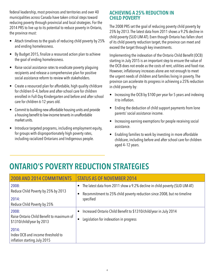federal leadership, most provinces and territories and over 40 municipalities across Canada have taken critical steps toward reducing poverty through provincial and local strategies. For the 2014 PRS to live up to its potential to reduce poverty in Ontario, the province must:

- Attach timelines to the goals of reducing child poverty by 25% and ending homelessness.
- By Budget 2015, finalize a resourced action plan to achieve the goal of ending homelessness.
- Raise social assistance rates to eradicate poverty plaguing recipients and release a comprehensive plan for positive social assistance reform to review with stakeholders.
- Create a resourced plan for affordable, high quality childcare for children 0–4, before and after-school care for children enrolled in Full-Day Kindergarten and before and after school care for children 6-12 years old.
- Commit to building new affordable housing units and provide a housing benefit to low-income tenants in unaffordable market units.
- Introduce targeted programs, including employment equity, for groups with disproportionately high poverty rates, including racialized Ontarians and Indigenous people.

## **Achieving a 25% Reduction in Child Poverty**

The 2008 PRS set the goal of reducing poverty child poverty by 25% by 2013. The latest data from 2011 shows a 9.2% decline in child poverty (SLID LIM-AT). Even though Ontario has fallen short of its child poverty reduction target, the province can meet and exceed the target through key investments.

Implementing the indexation of the Ontario Child Benefit (OCB) starting in July 2015 is an important step to ensure the value of the OCB does not erode as the costs of rent, utilities and food rise. However, inflationary increases alone are not enough to meet the urgent needs of children and families living in poverty. The province can accelerate its progress in achieving a 25% reduction in child poverty by:

- Increasing the OCB by \$100 per year for 5 years and indexing it to inflation.
- Ending the deduction of child support payments from lone parents' social assistance income.
- Increasing earning exemptions for people receiving social assistance.
- Enabling families to work by investing in more affordable childcare, including before and after school care for children aged 4–12 years.

# **ONTARIO'S POVERTY REDUCTION STRATEGIES**

| <b>2008 AND 2014 COMMITMENTS</b>                                                         | STATUS AS OF NOVEMBER 2014                                                                                                                                           |
|------------------------------------------------------------------------------------------|----------------------------------------------------------------------------------------------------------------------------------------------------------------------|
| 2008:<br>Reduce Child Poverty by 25% by 2013<br>2014:<br>Reduce Child Poverty by 25%     | The latest data from 2011 show a 9.2% decline in child poverty (SLID LIM-AT)<br>Recommitment to 25% child poverty reduction since 2008, but no timeline<br>specified |
| 2008:<br>Raise Ontario Child Benefit to maximum of<br>\$1310/child/year by 2013<br>2014: | Increased Ontario Child Benefit to \$1310/child/year in July 2014<br>Legislation for indexation in progress                                                          |
| Index OCB and income threshold to<br>inflation starting July 2015                        |                                                                                                                                                                      |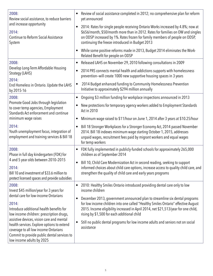| 2008:<br>Review social assistance, to reduce barriers<br>and increase opportunity<br>2014:<br><b>Continue to Reform Social Assistance</b><br>System                                                                                                                                                                                                                                                       | Review of social assistance completed in 2012; no comprehensive plan for reform<br>$\bullet$<br>yet announced                                                                                                                                                                                                                                                                                                     |
|-----------------------------------------------------------------------------------------------------------------------------------------------------------------------------------------------------------------------------------------------------------------------------------------------------------------------------------------------------------------------------------------------------------|-------------------------------------------------------------------------------------------------------------------------------------------------------------------------------------------------------------------------------------------------------------------------------------------------------------------------------------------------------------------------------------------------------------------|
|                                                                                                                                                                                                                                                                                                                                                                                                           | 2014: Rates for single people receiving Ontario Works increased by 4.8%; now at<br>$\bullet$<br>\$656/month, \$50/month more than in 2012. Rates for families on OW and singles<br>on ODSP increased by 1%. Rates frozen for family members of people on ODSP,<br>continuing the freeze introduced in Budget 2013                                                                                                 |
|                                                                                                                                                                                                                                                                                                                                                                                                           | While some positive reforms made in 2013, Budget 2014 eliminates the Work-<br>$\bullet$<br>Related Benefit for people on ODSP                                                                                                                                                                                                                                                                                     |
| 2008:<br>Develop Long-Term Affordable Housing<br>Strategy (LAHS)<br>2014:                                                                                                                                                                                                                                                                                                                                 | Released LAHS on November 29, 2010 following consultations in 2009<br>$\bullet$                                                                                                                                                                                                                                                                                                                                   |
|                                                                                                                                                                                                                                                                                                                                                                                                           | 2014 PRS connects mental health and addictions supports with homelessness<br>$\bullet$<br>prevention-will create 1000 new supportive housing spaces in 3 years                                                                                                                                                                                                                                                    |
| End Homeless in Ontario. Update the LAHS<br>by 2015-16                                                                                                                                                                                                                                                                                                                                                    | 2014 Budget enhanced funding to Community Homelessness Prevention<br>$\bullet$<br>Initiative to approximately \$294 million annually                                                                                                                                                                                                                                                                              |
| 2008:<br>Promote Good Jobs through legislation<br>to cover temp agencies, Employment<br>Standards Act enforcement and continue<br>minimum wage raises                                                                                                                                                                                                                                                     | Ongoing \$3 million funding for workplace inspections announced in 2013<br>$\bullet$                                                                                                                                                                                                                                                                                                                              |
|                                                                                                                                                                                                                                                                                                                                                                                                           | New protections for temporary agency workers added to Employment Standards<br>٠<br><b>Act in 2010</b>                                                                                                                                                                                                                                                                                                             |
|                                                                                                                                                                                                                                                                                                                                                                                                           | Minimum wage raised to \$11/hour on June 1, 2014 after 3 years at \$10.25/hour<br>$\bullet$                                                                                                                                                                                                                                                                                                                       |
| 2014:<br>Youth unemployment focus, integration of<br>employment and training services & Bill 18                                                                                                                                                                                                                                                                                                           | Bill 18 Stronger Workplaces for a Stronger Economy Act, 2014 passed November<br>2014. Bill 18 indexes minimum wage starting October 1, 2015, addresses<br>unpaid wages, recruitment fees paid by migrant workers and equal wages<br>for temp workers                                                                                                                                                              |
| 2008:<br>Phase in full day kindergarten (FDK) for<br>4 and 5 year olds between 2010-2015<br>2014:<br>Bill 10 and investment of \$33.6 million to<br>protect licensed spaces and provide subsidies                                                                                                                                                                                                         | FDK fully implemented in publicly-funded schools for approximately 265,000<br>$\bullet$<br>children as of September 2014                                                                                                                                                                                                                                                                                          |
|                                                                                                                                                                                                                                                                                                                                                                                                           | Bill 10, Child Care Modernization Act in second reading, seeking to support<br>$\bullet$<br>informed choices about child care options, increase access to quality child care, and<br>strengthen the quality of child care and early years programs                                                                                                                                                                |
| 2008:<br>Invest \$45 million/year for 3 years for<br>dental care for low-income Ontarians<br>2014:<br>Introduce additional health benefits for<br>low income children: prescription drugs,<br>assistive devices, vision care and mental<br>health services. Explore options to extend<br>coverage to all low income Ontarians<br>Commit to provide public dental services to<br>low income adults by 2025 | 2010: Healthy Smiles Ontario introduced providing dental care only to low<br>$\bullet$<br>income children                                                                                                                                                                                                                                                                                                         |
|                                                                                                                                                                                                                                                                                                                                                                                                           | December 2013, government announced plan to streamline six dental programs<br>$\bullet$<br>for low income children into one called "Healthy Smiles Ontario" effective August<br>2015. Income eligibility increased in April 2014, net \$21,513/year for one child,<br>rising by \$1,500 for each additional child<br>Still no public dental programs for low income adults and seniors not on social<br>$\bullet$ |
|                                                                                                                                                                                                                                                                                                                                                                                                           | assistance                                                                                                                                                                                                                                                                                                                                                                                                        |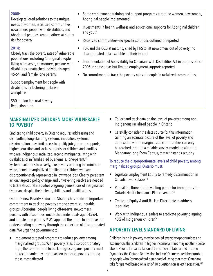#### **Marginalized Children more vulnerable to Poverty**

Eradicating child poverty in Ontario requires addressing and dismantling long-standing systemic inequities. Systemic discrimination may limit access to quality jobs, income supports, higher education and social supports for children and families who are Indigenous, racialized, recent immigrants, living with disabilities or in families led by a female, lone-parent.<sup>10</sup> Systemic solutions to poverty, like poverty proofing the minimum wage, benefit marginalized families and children who are disproportionately represented in low wage jobs. Clearly, persistent action, targeted policy change and unwavering resolve are needed to tackle structural inequities plaguing generations of marginalized Ontarians despite their talents, abilities and qualifications.

Ontario's new Poverty Reduction Strategy has made an important commitment to tracking poverty among several vulnerable groups: Aboriginal people living off-reserve, newcomers, persons with disabilities, unattached individuals aged 45-64, and female lone parents.<sup>11</sup> We applaud the intent to improve the understanding of poverty through the collection of disaggregated data. We urge the government to:

• Implement targeted programs to reduce poverty among marginalized groups. With poverty rates disproportionately high, the commitment to track progress against poverty must be accompanied by urgent action to reduce poverty among those most affected

- Collect and track data on the level of poverty among non-Indigenous racialized people in Ontario
- Carefully consider the data source for this information. Gaining an accurate picture of the level of poverty and deprivation within marginalized communities can only be reached through a reliable survey, modelled after the Mandatory Long Form Census, that withstands scrutiny

#### To reduce the disproportionate levels of child poverty among marginalized groups, Ontario must:

- Legislate Employment Equity to remedy discrimination in Canadian workplaces<sup>12</sup>
- Repeal the three-month waiting period for immigrants for Ontario Health Insurance Plan coverage<sup>13</sup>
- Create an Equity & Anti-Racism Directorate to address inequities
- Work with Indigenous leaders to eradicate poverty plaguing 40% of Indigenous children<sup>14</sup>

# **A Poverty-level Standard of Living**

Children living in poverty may be denied everyday opportunities and experiences that children in higher income families may not think twice about. Prior to the cancellation of the Survey of Labour and Income Dynamics, the Ontario Deprivation Index (ODI) measured the number of people who "cannot afford a standard of living that most Ontarians take for granted based on a list of 10 questions on select necessities."15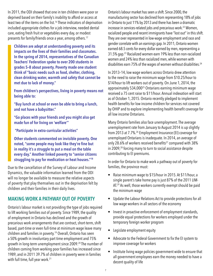In 2011, the ODI showed that one in ten children were poor or deprived based on their family's inability to afford or access at least two of the items on the list.<sup>16</sup> These indicators of deprivation included appropriate clothes for a job interview, needed dental care, eating fresh fruit or vegetables every day, or modest presents for family/friends once a year, among others.<sup>17</sup>

**Children are adept at understanding poverty and its impacts on the lives of their families and classmates. In the spring of 2014, representatives of the Canadian Teachers' Federation spoke to over 200 students in grades 5–8 about poverty. Poverty made one student think of "basic needs such as food, shelter, clothing, clean drinking water, warmth and safety that cannot be met due to lack of money."**

**From children's perspectives, living in poverty means not being able to:** 

**"Buy lunch at school or even be able to bring a lunch, and not have a babysitter."**

**"Go places with your friends and you might also get made fun of for living on 'welfare'"**

 **"Participate in extra-curricular activities"** 

**Other students commented on invisible poverty. One noted, "some people may look like they're fine but in reality it's a struggle to put a meal on the table every day." Another linked poverty to "senior citizens struggling to pay for medication or heat houses."18**

Due to the cancellation of the Survey of Labour and Income Dynamics, the valuable information learned from the ODI will no longer be available to measure the relative aspects of poverty that play themselves out in the deprivation felt by children and their families in their daily lives.

## **Making Work A Pathway Out of Poverty**

Ontario's labour market is not providing the type of jobs required to lift working families out of poverty. Since 1989, the quality of employment in Ontario has declined and the growth of precarious work arrangements that are contract, short-term, shift based, part-time or even full-time at minimum wage leave many children and families in poverty.19 Overall, Ontario has seen a 50% growth in involuntary part time employment and 75% growth in long-term unemployment since 2009.<sup>20</sup> The number of children coming from working poor families has increased since 1989, and in 2011 39.7% of children in poverty were in families with full time, full year work.<sup>21</sup>

Ontario's labour market has seen a shift. Since 2000, the manufacturing sector has declined from representing 18% of jobs in Ontario to just 11% by 2013 and there has been a dramatic increase in services-related jobs and precarious work.<sup>22</sup> Women, racialized people and recent immigrants have "lost out" in this shift. They are over represented in low-wage employment and race and gender correlate with an earnings gap. In 2011, Ontario women earned 68.5 cents for every dollar earned by men, representing a 31.5% gap.23 Racialized women earn 19% less than non-racialized women and 24% less than racialized men, while women with disabilities earn 75% of the wages of women without disabilities.<sup>24</sup>

In 2013–14, low wage workers across Ontario drew attention to the need to raise the minimum wage from \$10.25/hour to \$14/hour to lift workers out of poverty. On June 1, 2014, the approximately 534,00025 Ontarians earning minimum wage received a 75 cent raise to \$11/hour. Annual indexation will start as of October 1, 2015. Ontario recently pledged to implement health benefits for low income children for services not covered by OHIP and to explore implementing health benefit coverage for all low income Ontarians.

Many Ontario families also face unemployment. The average unemployment rate from January to August 2014 is up slightly from 2013 at 7.7%.26 Employment Insurance (EI) coverage for unemployed Ontarians is inadequate. In 2014, an average of only 28.6% of workers received benefits<sup>27</sup> compared with 38% in 2009,<sup>28</sup> forcing many to turn to social assistance despite contributing to EI premiums.

In order for Ontario to make work a pathway out of poverty for families, the province must:

- Raise minimum wage to \$15/hour in 2015. At \$11/hour, a single parent's take home pay is just 87% of the 2011 LIM-AT.<sup>29</sup> As well, those workers currently exempt should be paid the minimum wage
- Update the Labour Relations Act to provide protections for all low wage workers in all sectors of the economy
- Invest in proactive enforcement of employment standards, provide equal protections for workers employed under the temporary foreign worker program
- Legislate employment equity
- Advocate to the Federal Government to fix the EI system to improve coverage for workers
- Institute living wage policies government wide to ensure that all government employees earn the money needed to have a decent quality of life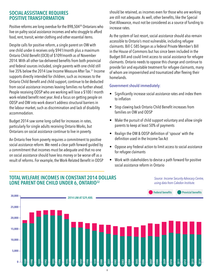### **Social Assistance Requires Positive Transformation**

Positive reforms are long overdue for the 898,504<sup>30</sup> Ontarians who live on paltry social assistance incomes and who struggle to afford food, rent, transit, winter clothing and other essential items.

Despite calls for positive reform, a single parent on OW with one child under 6 receives only \$941/month plus a maximum Ontario Child Benefit (OCB) of \$109/month as of November 2014. With all other tax-delivered benefits from both provincial and federal sources included, single parents with one child still live 35% below the 2014 Low Income Measure After Tax.31 Income supports directly intended for children, such as increases to the Ontario Child Benefit and child support, continue to be deducted from social assistance incomes leaving families no further ahead. People receiving ODSP who are working will lose a \$100 / month work-related benefit next year. And a focus on getting people on ODSP and OW into work doesn't address structural barriers in the labour market, such as discrimination and lack of disability accommodation.

Budget 2014 saw some long called for increases in rates, particularly for single adults receiving Ontario Works, but Ontarians on social assistance continue to live in poverty.

An Ontario free from poverty requires a commitment to positive social assistance reform. We need a clear path forward guided by a commitment that incomes must be adequate and that no one on social assistance should have less money or be worse off as a result of reforms. For example, the Work-Related Benefit in ODSP should be retained, as incomes even for those who are working are still not adequate. As well, other benefits, like the Special Diet Allowance, must not be considered as a source of funding to increase rates.

As the system of last resort, social assistance should also remain accessible to Ontario's most vulnerable, including refugee claimants. Bill C-585 began as a federal Private Member's Bill in the House of Commons but has since been included in the Budget Bill and could limit access to social assistance for refugee claimants. Ontario needs to oppose this change and continue to provide fair and equitable treatment for refugee claimants, many of whom are impoverished and traumatized after fleeing their homelands.

#### Government should immediately:

- Significantly increase social assistance rates and index them to inflation
- Stop clawing back Ontario Child Benefit increases from families on OW and ODSP
- Make the pursuit of child support voluntary and allow single parents to keep at least 50% of payments
- Realign the OW & ODSP definition of 'spouse' with the definition used in the Income Tax Act
- Oppose any Federal action to limit access to social assistance for refugee claimants
- Work with stakeholders to devise a path forward for positive social assistance reform in Ontario

#### **TOTAL WELFARE INCOMES IN CONSTANT 2014 DOLLARS LONE PARENT ONE CHILD UNDER 6, ONTARIO32**

*Source: Income Security Advocacy Centre, using data from Caledon Institute.*

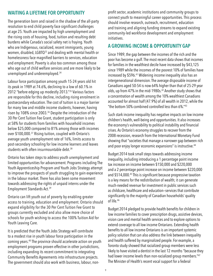## **Waiting a Lifetime for Opportunity**

The generation born and raised in the shadow of the all-party resolution to end child poverty face significant challenges at age 25. Youth are impacted by high unemployment and the rising costs of housing, food, tuition and resulting debt burdens while Canada's social safety net is fraying. Youth who are Indigenous, racialized, recent immigrants, young women, disabled, LGBTQ33 and dealing with mental health or homelessness face magnified barriers to services, education and employment. Poverty is also too common among those who age out of child welfare services and are more likely to be unemployed and underemployed.34

Labour force participation among youth 15-24 years old hit its peak in 1989 at 74.6%, declining to a low of 60.1% in 2012 "before edging up modestly 2013."35 Various factors are responsible for this decline, including rising enrolment in postsecondary education. The cost of tuition is a major barrier for many low and middle income students, however, having risen by 108% since 2003.36 Despite the introduction of the 30 Per Cent Tuition Fee Grant, student participation is only at 58% for students from families with household incomes below \$25,000 compared to 81% among those with incomes over \$100,000.37 Rising tuition, coupled with Ontario's average youth unemployment rate of 16%, limits access to post-secondary schooling for low income learners and leaves students with often insurmountable debt.<sup>38</sup>

Ontario has taken steps to address youth unemployment and limited opportunities for advancement. Programs including The Youth Apprenticeship Program and Youth Jobs Strategy attempt to improve the prospects of youth struggling to gain experience in the labour market. There has also been some movement towards addressing the rights of unpaid interns under the Employment Standards Act.39

Ontario can lift youth out of poverty by enabling greater access to training, education and employment. Ontario should expand eligibility for the 30 Per Cent Tuition Fee Grant to groups currently excluded and also allow more choice of schools for youth wishing to access the 100% Tuition Aid for Youth Leaving Care.

It is predicted that the Youth Jobs Strategy will contribute to a modest rise in youth labour force participation in the coming years.40 The province should accelerate action on youth employment programs proven effective in other jurisdictions, including expanding its recent commitment to integrating Community Benefits Agreements into infrastructure projects. The government should also work with business, labour, nonprofit sector, academic institutions and community groups to connect youth to meaningful career opportunities. This process should involve research, outreach, recruitment, education and training and aligning funding streams to expand existing community-led workforce development and employment initiatives.

#### **A Growing Income & Opportunity Gap**

Since 1989, the gap between the incomes of the rich and the poor has become a gulf. The most recent data shows that incomes for families in the wealthiest decile have increased by \$43,125 since 1989 while the incomes of the poorest 10% of families have increased by \$596.41 Widening income inequality also has an intergenerational dimension. The average disposable income of Canadians aged 50-54 is now 64% higher than that of 25-29 year olds, up from 47% in the mid-1980s.<sup>42</sup> Another study shows that a concentration of wealth among the 10% wealthiest Canadians accounted for almost half (47.9%) of all wealth in 2012, while the "the bottom 50% combined controlled less than 6%."<sup>43</sup>

Such stark income inequality has negative impacts on low income children's health, well-being and opportunities. It also increases the economy's vulnerability to political instability and financial crises. As Ontario's economy struggles to recover from the 2008 recession, research from the International Monetary Fund showing that "societies that manage a narrower gap between rich and poor enjoy longer economic expansions" is instructive.<sup>44</sup>

Budget 2014 took small steps towards addressing income inequality, including introducing a 1 percentage point income tax increase on income between \$150,000 and \$220,000 and a 2 percentage point increase on income between \$220,000 and \$514,000.45 This is significant because progressive taxation is a key means for the redistribution of wealth; it can generate much-needed revenue for investment in public services such as childcare, healthcare and education—services that contribute significantly to the majority of Canadian households' quality of life.46

Budget 2014 pledged to provide health benefits for children in low income families to cover prescription drugs, assistive devices, vision care and mental health services and to explore options to extend coverage to all low income Ontarians. Extending health benefits to all low income Ontarians is an important systemic policy solution that can also address the link between inequality and health suffered by marginalized people. For example, a Toronto study showed that racialized group members were less likely to have visited a dentist in the last 12 months "because they had lower income levels than non-racialized group members."47 The Minister of Health's recent vocal support for a federal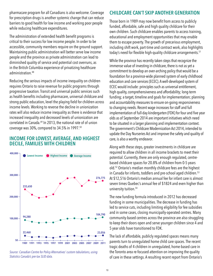pharmacare program for all Canadians is also welcome. Coverage for prescription drugs is another systemic change that can reduce barriers to good health for low income and working poor people while reducing healthcare expenditures.

The administration of extended health benefit programs is critical to their success for low income people. In order to be accessible, community members require on the ground support. Maintaining public administration will better serve low income people and the province as private administration can lead to diminished quality of service and potential cost overruns, as in the British Columbia experience of privatizing healthcare administration<sup>48</sup>

Reducing the serious impacts of income inequality on children requires Ontario to raise revenue for public programs through progressive taxation. Transit and universal public services such as health benefits including pharmacare, universal childcare and strong public education, level the playing field for children across income levels. Working to reverse the decline in unionization rates will also reduce income inequality as there is evidence that increased inequality and decreased levels of unionization are correlated in Canada.<sup>49</sup> In 2013, the national rate of of union coverage was 30%, compared to 34.5% in 1997.50

#### **income for lowest, average, and highest decile, families with children**



*Source: Canadian Centre for Policy Alternatives' custom tabulations, using Statistics Canada's pre-tax SLID data.*

# **Childcare Can't Skip Another Generation**

Those born in 1989 may now benefit from access to publicly funded, affordable, safe and high quality childcare for their own children. Such childcare enables parents to access training, educational and employment opportunities that may enable them to escape poverty. The growth of precarious employment, including shift work, part-time and contract work, also highlights today's need for flexible high-quality childcare arrangements.<sup>51</sup>

While the province has recently taken steps that recognize the immense value of investing in childcare, there is not as yet a commitment to develop an over-arching policy that would be a foundation for a province-wide planned system of early childhood education and care services (ECEC). A well-developed system of ECEC would include: principles such as universal entitlement, high quality, comprehensiveness and affordability; long-term funding; a target, timeline and goals for implementation; planning and accountability measures to ensure on-going responsiveness to changing needs. Recent wage increases for staff and full implementation of full-day kindergarten (FDK) for four and five year olds as of September 2014 are important initiatives which need to be situated in a larger planning and implementation context. The government's Childcare Modernization Act 2014, intended to update the Day Nurseries Act and improve the safety and quality of care, is also a worthy endeavor.

Along with these steps, greater investments in childcare are required to allow children in all income brackets to meet their potential. Currently, there are only enough regulated, centrebased childcare spaces for 20.8% of children from 0-5 years old.52 Ontario's median monthly childcare fees are the highest in Canada for infants, toddlers and pre-school aged children.<sup>53</sup> At \$12,516 Ontario's median annual fee for infant care is almost seven times Quebec's annual fee of \$1824 and even higher than university tuition.<sup>54</sup>

The new funding formula introduced in 2012 has decreased funding in some municipalities. The decrease in funding has led to service cuts, including limiting eligibility for fee subsidies and in some cases, closing municipally-operated centres. Many community-based centres across the province are also struggling to keep their doors open and serve younger children since 4 and 5 year olds have transitioned to FDK.

The lack of affordable, publicly regulated spaces means many parents turn to unregulated home child care spaces. The recent tragic deaths of 4 children in unregulated, home-based care in the Toronto area re-focused attention on improving the quality of care in these settings. A resulting recent report from Ontario's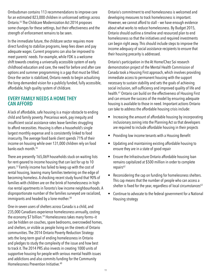Ombudsman contains 113 recommendations to improve care for an estimated 823,000 children in unlicensed settings across Ontario.55 The Childcare Modernization Act 2014 proposes some changes for these settings, but their effectiveness and the strength of enforcement remains to be seen.

In the immediate future, the childcare sector requires more direct funding to stabilize programs, keep fees down and pay adequate wages. Current programs can also be improved to meet parents' needs. For example, while FDK is a welcome shift towards creating a universally accessible system of early childhood education and care, the need for before and after care options and summer programming is a gap that must be filled. Once the sector is stabilized, Ontario needs to begin actualizing the long-demanded vision for a publicly funded, fully accessible, affordable, high quality system of childcare.

#### **Every Family Needs a Home they can Afford**

A lack of affordable, safe housing is a major obstacle to ending child and family poverty. Precarious work, pay inequity and insufficient social assistance rates leave families struggling to afford necessities. Housing is often a household's single largest monthly expense and is consistently linked to food insecurity. The average food bank client spends 71% of their income on housing while over 131,000 children rely on food banks each month.<sup>56</sup>

There are presently 165,069 households stuck on waiting lists for rent-geared to income housing that can last for up to 10 years.57 Family income has failed to keep up with the cost of rental housing, leaving many families teetering on the edge of becoming homeless. A shocking recent study found that 90% of families with children are on the brink of homelessness in highrise rental apartments in Toronto's low income neighbourhoods. A disproportionate number of the families surveyed are racialized, immigrants and headed by a lone-mother.<sup>58</sup>

One-in-seven users of shelters across Canada is a child, and 235,000 Canadians experience homelessness annually, costing the economy \$7 billion.<sup>59</sup> Homelessness takes many forms-it can be hidden on couches, spare bedrooms, overcrowded homes, and shelters, or visible as people living on the streets of Ontario communities. The 2014 Ontario Poverty Reduction Strategy sets the long-term goal of ending homelessness in Ontario and pledges to study the complexity of the issue and how best to track it. The 2014 PRS also invests in creating 1000 units of supportive housing for people with serious mental health issues and addictions and also commits funding for the Community Homelessness Prevention Initiative.<sup>60</sup>

Ontario's commitment to end homelessness is welcomed and developing measures to track homelessness is important. However, we cannot afford to stall – we have enough evidence about what works to reduce homelessness. By Budget 2015, Ontario should outline a timeline and resourced plan to end homelessness so that the initiatives and required investments can begin right away. This should include steps to improve the income adequacy of social assistance recipients to ensure that their housing precarity is addressed.

Ontario's participation in the At Home/Chez Soi research demonstration project of the Mental Health Commission of Canada took a Housing First approach, which involves providing immediate access to permanent housing with the support necessary to sustain stability and sets the goals of achieving social inclusion, self-sufficiency and improved quality of life and health.61 Ontario can build on the effectiveness of Housing First and can ensure the success of the model by ensuring adequate housing is available to those in need. Important actions Ontario can take to address the affordable housing crisis include:

- Increasing the amount of affordable housing by incorporating inclusionary zoning into the Planning Act so that developers are required to include affordable housing in their projects
- Providing low income tenants with a Housing Benefit
- Updating and maintaining existing affordable housing to ensure they are in a state of good repair
- Ensure the Infrastructure Ontario affordable housing loan remains capitalized at \$500 million in order to complete repairs<sup>62</sup>
- Reconsidering the cap on funding for homelessness shelters. This cap means that the number of people who can access a shelter is fixed for the year, regardless of local circumstances $63$
- Continue to advocate to the federal government for a National Housing strategy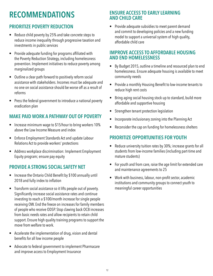# **Recommendations**

# **PRIORITIZE POVERTY REDUCTION**

- Reduce child poverty by 25% and take concrete steps to reduce income inequality through progressive taxation and investments in public services
- Provide adequate funding for programs affiliated with the Poverty Reduction Strategy, including homelessness prevention. Implement initiatives to reduce poverty among marginalized groups
- Outline a clear path forward to positively reform social assistance with stakeholders. Incomes must be adequate and no one on social assistance should be worse off as a result of reforms
- Press the federal government to introduce a national poverty eradication plan

# **MAKE PAID WORK A PATHWAY OUT OF POVERTY**

- Increase minimum wage to \$15/hour to bring workers 10% above the Low Income Measure and index
- Enforce Employment Standards Act and update Labour Relations Act to provide workers' protections
- Address workplace discrimination: Implement Employment Equity program; ensure pay equity

# **PROVIDE A STRONG SOCIAL SAFETY NET**

- Increase the Ontario Child Benefit by \$100 annually until 2018 and fully index to inflation
- Transform social assistance so it lifts people out of poverty. Significantly increase social assistance rates and continue investing to reach a \$100/month increase for single people receiving OW. End the freeze on increases for family members of people who receive ODSP. Stop clawing back OCB increases from basic needs rates and allow recipients to retain child support. Ensure high quality training programs to support the move from welfare to work.
- Accelerate the implementation of drug, vision and dental benefits for all low income people
- Advocate to federal government to implement Pharmacare and improve access to Employment Insurance

### **ENSURE ACCESS TO EARLY LEARNING AND CHILD CARE**

• Provide adequate subsidies to meet parent demand and commit to developing policies and a new funding model to support a universal system of high quality, affordable child care

### **IMPROVE ACCESS TO AFFORDABLE HOUSING AND END HOMELESSNESS**

- By Budget 2015, outline a timeline and resourced plan to end homelessness. Ensure adequate housing is available to meet community needs
- Provide a monthly Housing Benefit to low-income tenants to reduce high rent costs
- Bring aging social housing stock up to standard, build more affordable and supportive housing
- Strengthen tenant protection legislation
- Incorporate inclusionary zoning into the Planning Act
- Reconsider the cap on funding for homelessness shelters

# **PRIORITIZE OPPORTUNITIES FOR YOUTH**

- Reduce university tuition rates by 30%; increase grants for all students from low-income families (including part-time and mature students)
- For youth and from care, raise the age limit for extended care and maintenance agreements to 25
- Work with business, labour, non-profit sector, academic institutions and community groups to connect youth to meaningful career opportunities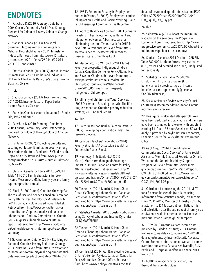# **Endnotes**

1 Patychuk, D. (2010 February). Data from 2006 Census, Community Social Data Strategy. Prepared for Colour of Poverty-Colour of Change Network.

2 Statistics Canada. (2013). Analytical document: Income composition in Canada. National Household Survey, 2011. Minister of Industry. Retrieved from: http://www12.statcan. gc.ca/nhs-enm/2011/as-sa/99-014-x/99-014 x2011001-eng.cfm#a6

3 Statistics Canada. (July 2014). Annual Income Estimates for Census Families and Individuals (T1 Family File) Family Data User's Guide. Income Statistics Division.

4 Ibid.

5 Statistics Canada. (2013). Low Income Lines, 2011-2012. Income Research Paper Series. Income Statistics Division.

6 Statistics Canada custom tabulation. T1 Family File, 1989 and 2012.

7 Patychuk, D. (2010 February). Data from 2006 Census, Community Social Data Strategy. Prepared for Colour of Poverty-Colour of Change Network.

8 Fontaine, P. (2007). Protecting our gifts and securing our future: Eliminating poverty among First Nations children. Paediatrics & Child Health, 12(8), 653-655. Retrieved from: www.pulsus. com/journals/toc.jsp?sCurrPg=journal&jnlKy=5& isuKy=745

9 Statistics Canada. (22 July 2014). CANSIM Table 111-0015 Family characteristics, Low Income Measures (LIM), by family type and family type composition annual.

10 Block, S. (2010 June). Ontario's Growing Gap: The role of race and gender. Canadian Centre for Policy Alternatives. And Block, S. & Galabuzi, G.E. (2011). Canada's colour Coded labour Market. Retrieved from http://www.policyalternatives. ca/publications/reports/canadas-colour-codedlabour-market. And Law Commission of Ontario. (2012 August). Vulnerable workers interim report. Retrieved from http://www.lco-cdo.org/ en/vulnerable-workers-interim-report-executivesummary

11 Government of Ontario. (2014). Realizing our Potential. Ontario's Poverty Reduction Strategy 2014-2019. Retrieved from: https://www.ontario. ca/home-and-community/realizing-our-potentialontarios-poverty-reduction-strategy-2014-2019

12 1984's Report on Equality in Employment quoted in Verma, A. (2012). Employment equity: Taking action. Health and Racism Working Group. East Mississauga Community Health Centre.

13 Right to Healthcare Coalition. (2011 January). Investing in health, economic, settlement and integration outcomes: A business case for eliminating the three<sup>[2]</sup>month wait for OHIP for new Ontario residents. Retrieved from: http:// accessalliance.ca/sites/accessalliance/files/ Business\_Case\_3monthwait.pdf

14 Macdonald, D. & Wilson, D. (2013 June). Poverty or prosperity: Indigenous children in Canada. Canadian Centre for Policy Alternatives and Save the Children. Retrieved from: http:// www.policyalternatives.ca/sites/default/ files/uploads/publications/National%20 Office/2013/06/Poverty\_or\_Prosperity\_ Indigenous\_Children.pdf.

15 Ministry of Children and Youth Services. (2013 December). Breaking the cycle: The fifth progress report on Ontario's poverty reduction strategy, 2013 Annual Report.

16 Ibid.

17 Daily Bread Food Bank & Caledon Institute (2009). Developing a deprivation index: The research process.

18 Canadian Teachers' Federation. (2014). Poverty, What is it? A Discussion Booklet for Students in Grades 5 to 8.

19 Hennessy, T., & Stanford, J. (2013 March). More harm than good: Austerity's impact in Ontario. Canadian Centre for Policy Alternatives-Ontario. Retrieved from: http:// www.policyalternatives.ca/sites/default/files/ uploads/publications/Ontario%20Office/2013/03/ More%20Harm%20Than%20Good\_0.pdf

20 Tiessen, K. (2014 March). Seismic Shift: Ontario's Changing Labour Market. Canadian Centre for Policy Alternatives Ontario Office. Retrieved from: https://www.policyalternatives.ca/ publications/reports/seismic-shift

21 Statistics Canada. (2013). Custom tabulations, using Survey of Labour and Income Dynamics (SLID) MASTERFILE.

22 Tiessen, K. (2014 March). Seismic Shift: Ontario's Changing Labour Market. Canadian Centre for Policy Alternatives Ontario Office. Retrieved from: https://www.policyalternatives.ca/ publications/reports/seismic-shift

23 Cornish, M. (2014, April). A Growing Concern: Ontario's Gender Pay Gap. Canadian Centre for Policy Alternatives Ontario Office. Retrieved from: https://www.policyalternatives.ca/sites/

default/files/uploads/publications/National%20 Office%2C%20Ontario%20Office/2014/04/ Ont Equal Pay Day.pdf

24 Ibid.

25 Yalnizyan, A. (2013). Boost the minimum wage, boost the economy. The Progressive Economics Forum. Retrieved from: http://www. progressive-economics.ca/2013/02/27/boost-theminimum-wage-boost-the-economy/

26 Statistics Canada. (2014 October). CAN SIM Table 282-0001. Labour force survey estimates (LFS), by sex and detailed age group, unadjusted for seasonality.

27 Statistics Canada. Table 276-0020- Employment Insurance program (EI), beneficiaries by province, type of income benefits, sex and age, monthly (persons), CANSIM (database).

28 Social Assistance Review Advisory Council. (2010 May). Recommendations for an Ontario income security review.

29 This figure is calculated after-payroll taxes have been deducted and tax credits and transfers have been estimated for a worker with one child earning \$11/hour, 35 hours/week over 52 weeks. Analysis provided by Kaylie Tiessen, Economist, Canadian Centre for Policy Alternatives Ontario Office.

30 As of August 2014. From Ministry of Community and Social Services' Ontario Social Assistance Monthly Statistical Reports for Ontario Works and the Ontario Disability Support Program. Retrieved from: http://www.mcss. gov.on.ca/ documents/en/mcss/social/reports/ OW\_EN\_2014-08.pdf and http://www.mcss. gov.on.ca/documents/en/mcss/social/reports/ ODSP\_EN\_2014-08.pdf.

31 Calculated by increasing the 2011 LIM-AT for a 2 person household (calculated using information from Statistics Canada, Low Income Lines, 2011-2012, Minister of Industry 2013) by a factor of 1.0431 to account for inflation. This LIM calculation uses the square root of family size equivalence scale in order to be consistent with previous Ontario Campaign 2000 reports.

32 1989-2013 Ontario welfare income data provided by Caledon Institute; 2014 Ontario welfare income data calculations and 1989-2013 data adjustments by Income Security Advocacy Centre. For more information on welfare incomes over time and across Canada, see Tweddle, A., K. Battle and S. Torjman, Welfare in Canada 2013, Nov 2014.

33 LGBTQ is an acronym for Lesbian, Gay Bisexual, Transgender, Queer.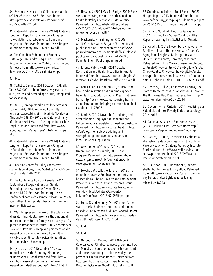34 Provincial Advocate for Children and Youth. (2012). 25 is the new 21 Retrieved from: http://provincialadvocate.on.ca/documents/ en/25istheNew21.pdf

35 Ontario Ministry of Finance. (2014). Ontario's Long-Term Report on the Economy. Chapter 1: Population and Labour Force Trends and Projections. Retrieved from: http://www.fin.gov. on.ca/en/economy/ltr/2014/ltr2014.pdf

36 The Canadian Federation of Students-Ontario. (2014). Addressing a Crisis: Students' Recommendations for the 2014 Ontario Budget. Retrieved from: http://www.cfsontario.ca/ downloads/2014-Fin.Ctte-Submission.pdf

#### 37 Ibid.

38 Statistics Canada. (2014 October). CAN SIM Table 282-0001. Labour force survey estimates (LFS), by sex and detailed age group, unadjusted for seasonality.

39 Bill 18, Stronger Workplaces for a Stronger Economy Act, 2014. Retrieved from: http://www. ontla.on.ca/web/bills/bills\_detail.do?locale=en &Intranet=&BillID=3010 and Ontario Ministry of Labour. (2014 March). Are Unpaid Internships Legal in Ontario? Retrieved from: http://www. labour.gov.on.ca/english/es/pubs/internships. php

40 Ontario Ministry of Finance. (2014). Ontario's Long-Term Report on the Economy. Chapter 1: Population and Labour Force Trends and Projections. Retrieved from: http://www.fin.gov. on.ca/en/economy/ltr/2014/ltr2014.pdf

41 Canadian Centre for Policy Alternatives' custom tabulations, using Statistics Canada's pretax SLID data, 1989-2011.

42 The Conference Board of Canada. (2014 September 23). Age Rather than Gender Becoming the New Income Divide. News Release 15-29. Retrieved from: http://www. conferenceboard.ca/press/newsrelease/14-09-23/ age\_rather\_than\_gender\_becoming\_the\_new\_ income\_divide.aspx

43 Wealth represents net worth: the total value of assets minus debts. Income is the amount of money an individual or family earns each year. As quoted in Broadbent Institute. (2014 September). Have and Have-Nots: Deep and persistent wealth inequality in Canada. Retrieved from: https:// www.broadbentinstitute.ca/sites/default/files/ documents/have-havenots.pdf

44 Lynch, D.J. (2011 November 16). How Inequality Hurts the Economy. Bloomberg Business Week Global. Retrieved from: http:// www.businessweek.com/magazine/howinequality-hurts-the-economy-11162011.html 45 Tiessen, K. (2014 May 1). Budget 2014: Baby steps to renewing revenue health. Canadian Centre for Policy Alternatives Ontario Office. Retrieved from: http://behindthenumbers. ca/2014/05/01/budget-2014-baby-steps-torenewing-revenue-health/

46 Mackenzie, H., Shillington, R. (2009 April). Canada's Quiet Bargain: The benefits of public spending. Retrieved from: http://www. policyalternatives.ca/sites/default/files/uploads/ publications/National\_Office\_Pubs/2009/ Benefits\_From\_Public\_Spending.pdf

47 Toronto Public Health.(2013 October). Racialization and Health Inequities in Toronto. Retrieved from: http://www.toronto.ca/legdocs/ mmis/2013/hl/bgrd/backgroundfile-62904.pdf

48 Bains, C. (2013 February 28 ). Outsourcing health administration not bringing expected benefits: B.C. auditor. Canadian Press.. Retrieved from: http://bc.ctvnews.ca/outsourcing-healthadministration-not-bringing-expected-benefits-bc-auditor-1.1177007

49 Block, S. (2012 November). Updating and Strengthening Employment Standards and Labour Relations Legislation. Broadbent Institute. Retrieved from: http://www.broadbentinstitute. ca/en/blog/sheila-block-updating-andstrengthening-employment-standards-andlabour-relations-legislation

50 Government of Canada. (2014 June 11). Union Coverage in Canada, 2013. Labour Program. Retrieved from: http://www.labour. gc.ca/eng/resources/info/publications/union\_ coverage/union\_coverage.shtml

51 Lewchuk, W., Lafleche, M. et al. (2013). It's more than poverty: Employment precarity and household well-being. Poverty and Employment Precarity in Southern Ontario Research Group. Retrieved from: http://www.unitedwaytoronto. com/downloads/whatWeDo/reports/ ItsMoreThanPoverty2013-02-09FReport.pdf

52 Ferns, C. and Friendly, M. (2012 June). The state of early childhood education and care in Canada 2012. Moving Child Care Forward Project. Retrieved from: http://childcarecanada.org/sites/ default/files/StateofECEC2012.pdf

53 Ibid.

54 Ibid.

55 Ombudsman Ontario. (2014 October). Careless About Child Care. Investigation into how the Ministry of Education responds to complaints and concerns relating to unlicensed daycare providers. Ombudsman Report. Retrieved from: https://ombudsman.on.ca/Files/sitemedia/ Documents/CarelessAboutChildCareEN\_1.pdf

56 Ontario Association of Food Banks. (2013). Hunger Report 2013. Retrieved from: http:// www.oafb.ca/tiny\_mce/plugins/filemanager/ pics cms/61/261/2013\_Hunger\_Report\_-\_Final.pdf

57 Ontario Non-Profit Housing Association. (2014). Waiting Lists Survey 2014. ONPHA's Report on Waiting Lists Statistics for Ontario.

58 Paradis, E. (2013 November). Nine out of Ten Families at Risk of Homelessness in Toronto's Aging Rental Highrise Buildings. Research Update. Cities Centre, University of Toronto. Retrieved from: http://www.citiescentre.utoronto. ca/Assets/Cities+Centre+2013+Digital+Assets/ Cities+Centre/ Cities+Centre+Digital+Assets/ pdfs/publications/Homelessness+in+Toronto+R ental+Highrise+Bldgs+-+NCRP+Nov-2013.pdf

59 Gaetz, S., Gulliver, T & Richter, T. (2014). The State of Homelessness in Canada: 2014. Toronto: The Homeless Hub Press. Retrieved from: http:// www.homelesshub.ca/SOHC2014

60 Government of Ontario. (2014). Realizing our Potential. Ontario's Poverty Reduction Strategy 2014-2019.

61 Canadian Alliance to End Homelessness. (2014). Housing First. Retrieved from: http:// www.caeh.ca/a-plan-not-a-dream/housing-first/

62 Barnes, S. (2013). Poverty Is A Health Issue: Wellesley Institute Submission on the Ontario Poverty Reduction Strategy. Wellesley Institute. Retrieved from: http://www.wellesleyinstitute. com/wp-content/uploads/2013/09/Poverty-Reduction-Strategy-2013.pdf

63 CBC News. (2013 November 6). Kenora shelter tightens rules to stay afloat. Retrieved from: http://www.cbc.ca/news/canada/thunderbay kenorashelter-tightens-rules-to-stayafloat-1.2416943.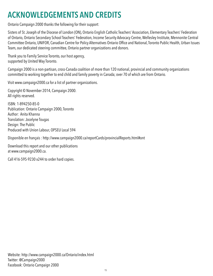# **Acknowledgements and credits**

Ontario Campaign 2000 thanks the following for their support:

Sisters of St. Joseph of the Diocese of London (ON), Ontario English Catholic Teachers' Association, Elementary Teachers' Federation of Ontario, Ontario Secondary School Teachers' Federation, Income Security Advocacy Centre, Wellesley Institute, Mennonite Central Committee Ontario, UNIFOR, Canadian Centre for Policy Alternatives Ontario Office and National, Toronto Public Health, Urban Issues Team, our dedicated steering committee, Ontario partner organizations and donors.

Thank you to Family Service Toronto, our host agency, supported by United Way Toronto.

Campaign 2000 is a non-partisan, cross-Canada coalition of more than 120 national, provincial and community organizations committed to working together to end child and family poverty in Canada; over 70 of which are from Ontario.

Visit www.campaign2000.ca for a list of partner organizations.

Copyright © November 2014, Campaign 2000. All rights reserved.

ISBN: 1-894250-85-0 Publication: Ontario Campaign 2000, Toronto Author: Anita Khanna Translation: Jocelyne Tougas Design: The Public Produced with Union Labour, OPSEU Local 594

Disponible en français : http://www.campaign2000.ca/reportCards/provincialReports.html#ont

Download this report and our other publications at www.campaign2000.ca.

Call 416-595-9230 x244 to order hard copies.